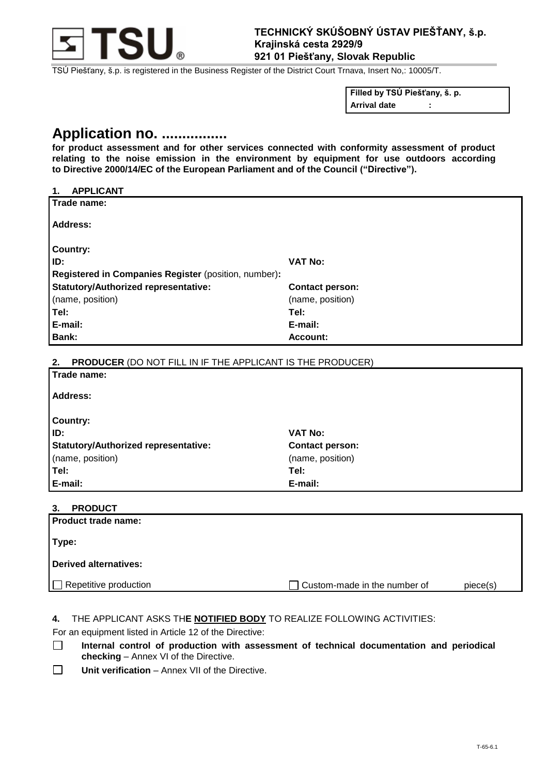

TSÚ Piešťany, š.p. is registered in the Business Register of the District Court Trnava, Insert No,: 10005/T.

**Filled by TSÚ Piešťany, š. p.**

**Arrival date :**

# **Application no. ................**

**for product assessment and for other services connected with conformity assessment of product relating to the noise emission in the environment by equipment for use outdoors according to Directive 2000/14/EC of the European Parliament and of the Council ("Directive").**

| <b>APPLICANT</b><br>1.                                                  |                        |
|-------------------------------------------------------------------------|------------------------|
| Trade name:                                                             |                        |
| <b>Address:</b>                                                         |                        |
|                                                                         |                        |
| <b>Country:</b>                                                         |                        |
| ID:                                                                     | <b>VAT No:</b>         |
| Registered in Companies Register (position, number):                    |                        |
| <b>Statutory/Authorized representative:</b>                             | <b>Contact person:</b> |
| (name, position)                                                        | (name, position)       |
| Tel:                                                                    | Tel:                   |
| E-mail:                                                                 | E-mail:                |
| <b>Bank:</b>                                                            | Account:               |
|                                                                         |                        |
| <b>PRODUCER (DO NOT FILL IN IF THE APPLICANT IS THE PRODUCER)</b><br>2. |                        |
| Trade name:                                                             |                        |
| <b>Address:</b>                                                         |                        |
|                                                                         |                        |
| <b>Country:</b>                                                         |                        |
| ID:                                                                     | <b>VAT No:</b>         |
| <b>Statutory/Authorized representative:</b>                             | <b>Contact person:</b> |
| (name, position)                                                        | (name, position)       |

## **3. PRODUCT**

| 3. PRODUCT                   |                              |          |  |  |
|------------------------------|------------------------------|----------|--|--|
| Product trade name:          |                              |          |  |  |
|                              |                              |          |  |  |
| Type:                        |                              |          |  |  |
|                              |                              |          |  |  |
| Derived alternatives:        |                              |          |  |  |
|                              |                              |          |  |  |
| $\Box$ Repetitive production | Custom-made in the number of | piece(s) |  |  |
|                              |                              |          |  |  |

### **4.** THE APPLICANT ASKS TH**E NOTIFIED BODY** TO REALIZE FOLLOWING ACTIVITIES:

For an equipment listed in Article 12 of the Directive:

**Tel: Tel: E-mail: E-mail:**

- $\Box$ **Internal control of production with assessment of technical documentation and periodical checking** – Annex VI of the Directive.
- $\Box$ **Unit verification** – Annex VII of the Directive.